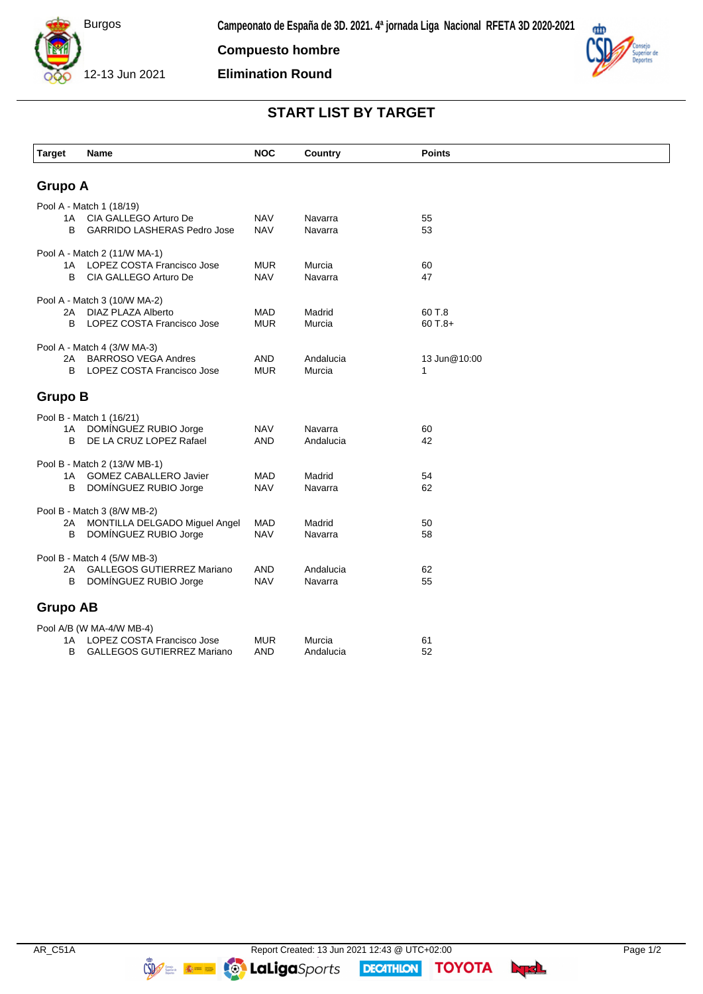

**Compuesto hombre**

**Elimination Round**



## **START LIST BY TARGET**

| <b>Target</b>                | Name                                                       | <b>NOC</b>               | Country              | <b>Points</b> |  |  |  |
|------------------------------|------------------------------------------------------------|--------------------------|----------------------|---------------|--|--|--|
|                              |                                                            |                          |                      |               |  |  |  |
| <b>Grupo A</b>               |                                                            |                          |                      |               |  |  |  |
| Pool A - Match 1 (18/19)     |                                                            |                          |                      |               |  |  |  |
| 1 A                          | CIA GALLEGO Arturo De                                      | <b>NAV</b>               | Navarra              | 55            |  |  |  |
| B                            | <b>GARRIDO LASHERAS Pedro Jose</b>                         | <b>NAV</b>               | Navarra              | 53            |  |  |  |
| Pool A - Match 2 (11/W MA-1) |                                                            |                          |                      |               |  |  |  |
| 1A                           | LOPEZ COSTA Francisco Jose                                 | <b>MUR</b>               | Murcia               | 60            |  |  |  |
| В                            | CIA GALLEGO Arturo De                                      | <b>NAV</b>               | Navarra              | 47            |  |  |  |
| Pool A - Match 3 (10/W MA-2) |                                                            |                          |                      |               |  |  |  |
|                              | 2A DIAZ PLAZA Alberto                                      | <b>MAD</b>               | Madrid               | 60 T.8        |  |  |  |
| B                            | LOPEZ COSTA Francisco Jose                                 | <b>MUR</b>               | Murcia               | $60T.8+$      |  |  |  |
| Pool A - Match 4 (3/W MA-3)  |                                                            |                          |                      |               |  |  |  |
| 2A                           | BARROSO VEGA Andres                                        | <b>AND</b>               | Andalucia            | 13 Jun@10:00  |  |  |  |
| B                            | LOPEZ COSTA Francisco Jose                                 | <b>MUR</b>               | Murcia               | 1             |  |  |  |
|                              |                                                            |                          |                      |               |  |  |  |
| <b>Grupo B</b>               |                                                            |                          |                      |               |  |  |  |
|                              | Pool B - Match 1 (16/21)                                   |                          |                      |               |  |  |  |
| B                            | 1A DOMÍNGUEZ RUBIO Jorge<br>DE LA CRUZ LOPEZ Rafael        | <b>NAV</b><br><b>AND</b> | Navarra<br>Andalucia | 60<br>42      |  |  |  |
|                              |                                                            |                          |                      |               |  |  |  |
|                              | Pool B - Match 2 (13/W MB-1)                               |                          |                      |               |  |  |  |
| 1A<br>B                      | <b>GOMEZ CABALLERO Javier</b><br>DOMÍNGUEZ RUBIO Jorge     | <b>MAD</b><br><b>NAV</b> | Madrid<br>Navarra    | 54<br>62      |  |  |  |
|                              |                                                            |                          |                      |               |  |  |  |
| Pool B - Match 3 (8/W MB-2)  |                                                            |                          |                      |               |  |  |  |
| 2A<br>В                      | MONTILLA DELGADO Miguel Angel<br>DOMÍNGUEZ RUBIO Jorge     | <b>MAD</b><br><b>NAV</b> | Madrid<br>Navarra    | 50<br>58      |  |  |  |
|                              |                                                            |                          |                      |               |  |  |  |
|                              | Pool B - Match 4 (5/W MB-3)                                |                          |                      |               |  |  |  |
| 2Α<br>B                      | <b>GALLEGOS GUTIERREZ Mariano</b><br>DOMÍNGUEZ RUBIO Jorge | <b>AND</b><br><b>NAV</b> | Andalucia<br>Navarra | 62<br>55      |  |  |  |
|                              |                                                            |                          |                      |               |  |  |  |
| <b>Grupo AB</b>              |                                                            |                          |                      |               |  |  |  |
| Pool A/B (W MA-4/W MB-4)     |                                                            |                          |                      |               |  |  |  |
| 1A                           | LOPEZ COSTA Francisco Jose                                 | <b>MUR</b>               | Murcia               | 61            |  |  |  |
| в                            | <b>GALLEGOS GUTIERREZ Mariano</b>                          | <b>AND</b>               | Andalucia            | 52            |  |  |  |

**DECATHION** 

**TOYOTA** byd